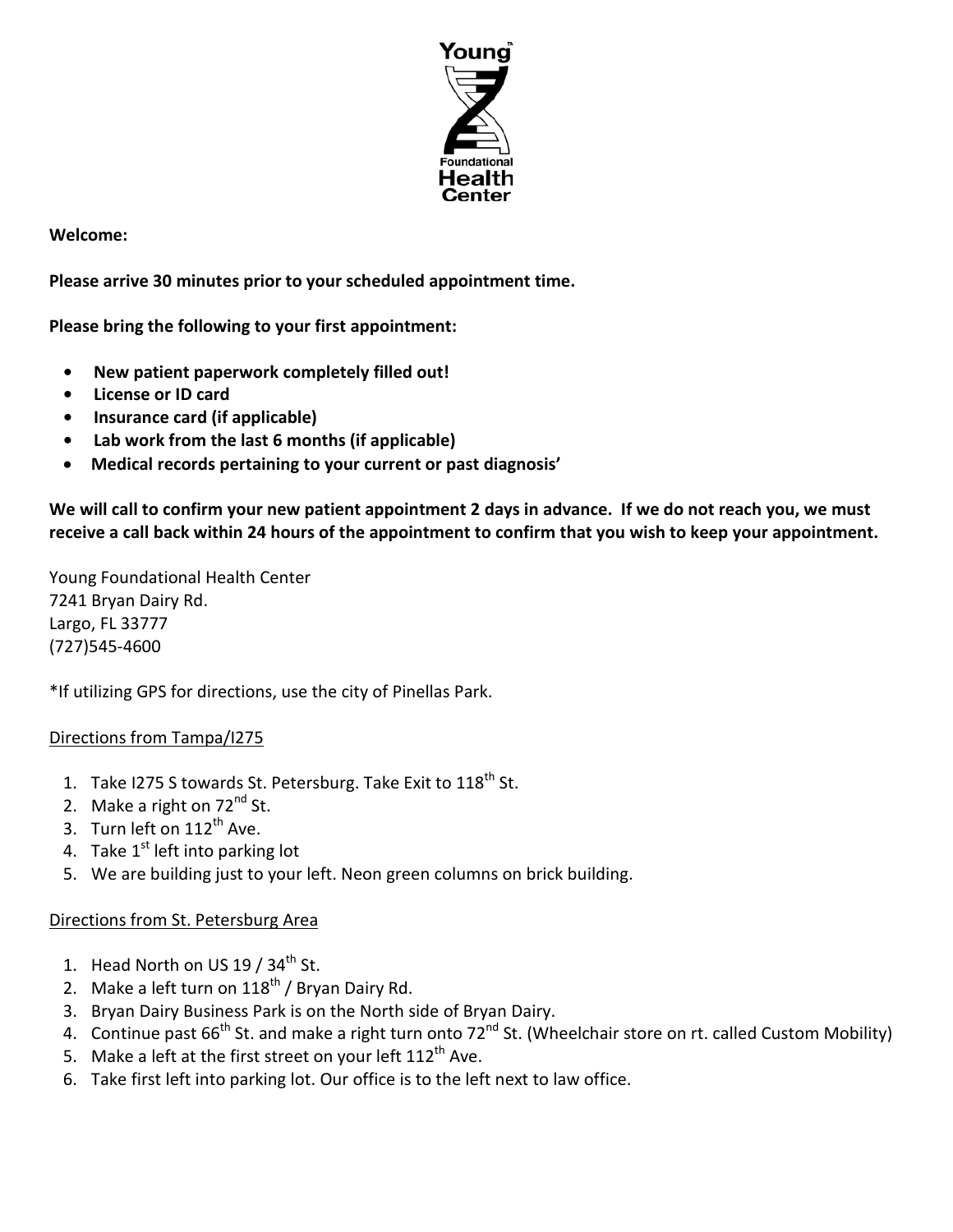

**Welcome:**

**Please arrive 30 minutes prior to your scheduled appointment time.**

**Please bring the following to your first appointment:**

- **• New patient paperwork completely filled out!**
- **License or ID card**
- **• Insurance card (if applicable)**
- **Lab work from the last 6 months (if applicable)**
- **Medical records pertaining to your current or past diagnosis'**

**We will call to confirm your new patient appointment 2 days in advance. If we do not reach you, we must receive a call back within 24 hours of the appointment to confirm that you wish to keep your appointment.**

Young Foundational Health Center 7241 Bryan Dairy Rd. Largo, FL 33777 (727)545-4600

\*If utilizing GPS for directions, use the city of Pinellas Park.

# Directions from Tampa/I275

- 1. Take I275 S towards St. Petersburg. Take Exit to  $118^{th}$  St.
- 2. Make a right on  $72<sup>nd</sup>$  St.
- 3. Turn left on  $112^{th}$  Ave.
- 4. Take  $1<sup>st</sup>$  left into parking lot
- 5. We are building just to your left. Neon green columns on brick building.

# Directions from St. Petersburg Area

- 1. Head North on US  $19/34^{\text{th}}$  St.
- 2. Make a left turn on  $118^{th}$  / Bryan Dairy Rd.
- 3. Bryan Dairy Business Park is on the North side of Bryan Dairy.
- 4. Continue past 66<sup>th</sup> St. and make a right turn onto 72<sup>nd</sup> St. (Wheelchair store on rt. called Custom Mobility)
- 5. Make a left at the first street on your left  $112^{th}$  Ave.
- 6. Take first left into parking lot. Our office is to the left next to law office.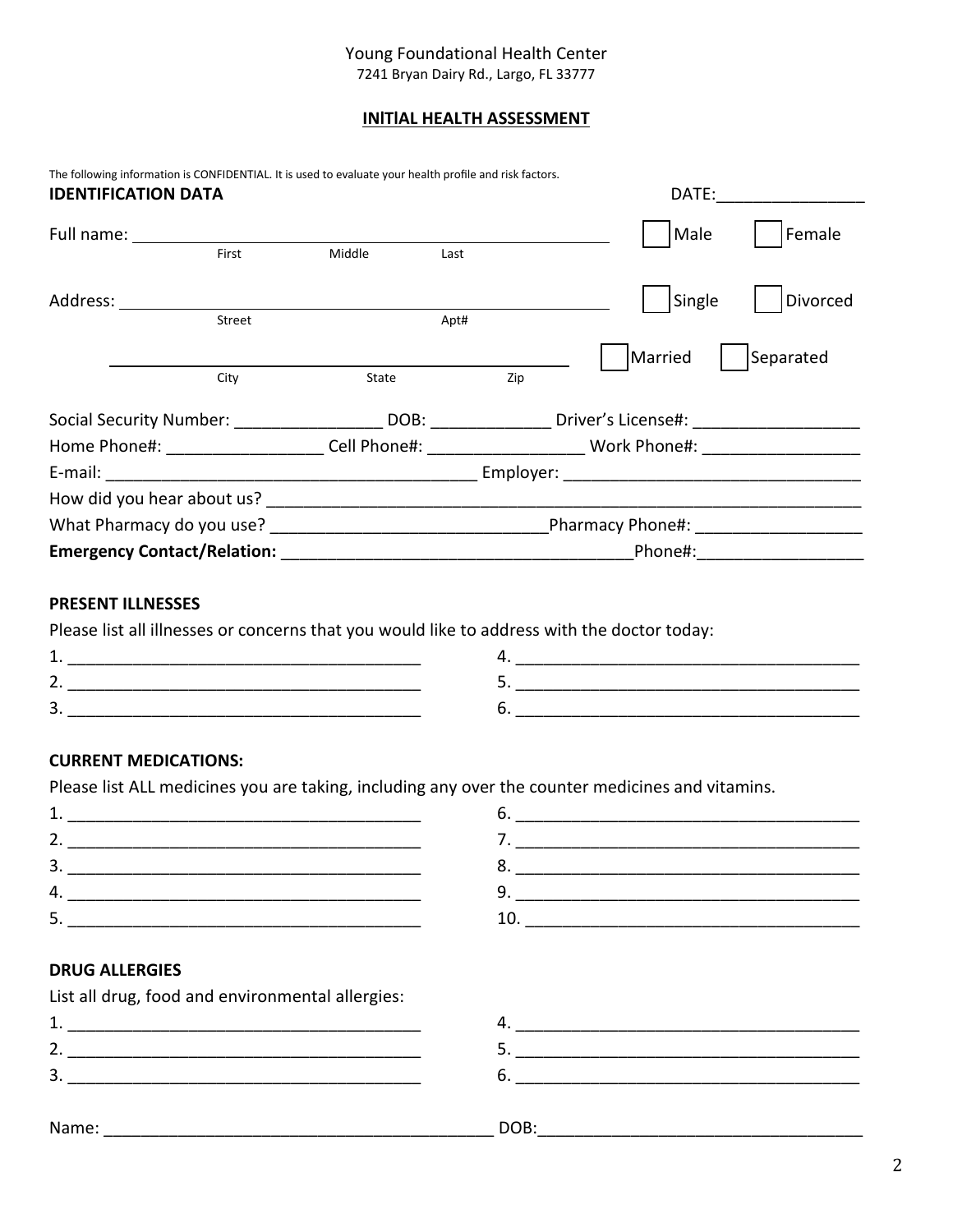## Young Foundational Health Center

7241 Bryan Dairy Rd., Largo, FL 33777

### **INlTlAL HEALTH ASSESSMENT**

| <b>IDENTIFICATION DATA</b> | The following information is CONFIDENTIAL. It is used to evaluate your health profile and risk factors.                                                                                                                       |        |                          |  | DATE:   |           |  |
|----------------------------|-------------------------------------------------------------------------------------------------------------------------------------------------------------------------------------------------------------------------------|--------|--------------------------|--|---------|-----------|--|
|                            |                                                                                                                                                                                                                               |        |                          |  | Male    | Female    |  |
|                            | First                                                                                                                                                                                                                         | Middle | Last                     |  |         |           |  |
| Address:                   |                                                                                                                                                                                                                               |        |                          |  | Single  | Divorced  |  |
|                            | Street                                                                                                                                                                                                                        |        | Apt#                     |  |         |           |  |
|                            |                                                                                                                                                                                                                               |        |                          |  | Married | Separated |  |
|                            | City                                                                                                                                                                                                                          | State  | Zip                      |  |         |           |  |
|                            | Social Security Number: ______________________DOB: __________________Driver's License#: _____________________                                                                                                                 |        |                          |  |         |           |  |
|                            | Home Phone#: ______________________Cell Phone#: ___________________________Work Phone#: ______________________                                                                                                                |        |                          |  |         |           |  |
|                            |                                                                                                                                                                                                                               |        |                          |  |         |           |  |
|                            | How did you hear about us? The state of the state of the state of the state of the state of the state of the state of the state of the state of the state of the state of the state of the state of the state of the state of |        |                          |  |         |           |  |
|                            |                                                                                                                                                                                                                               |        |                          |  |         |           |  |
|                            |                                                                                                                                                                                                                               |        | Phone#: ________________ |  |         |           |  |

### **PRESENT ILLNESSES**

Please list all illnesses or concerns that you would like to address with the doctor today:

### **CURRENT MEDICATIONS:**

Please list ALL medicines you are taking, including any over the counter medicines and vitamins.

| <u>_</u> |  |
|----------|--|
|          |  |
|          |  |
| . .      |  |

# **DRUG ALLERGIES**

| List all drug, food and environmental allergies: |      |  |
|--------------------------------------------------|------|--|
|                                                  |      |  |
|                                                  |      |  |
|                                                  | b.   |  |
|                                                  |      |  |
| Name:                                            | DOB: |  |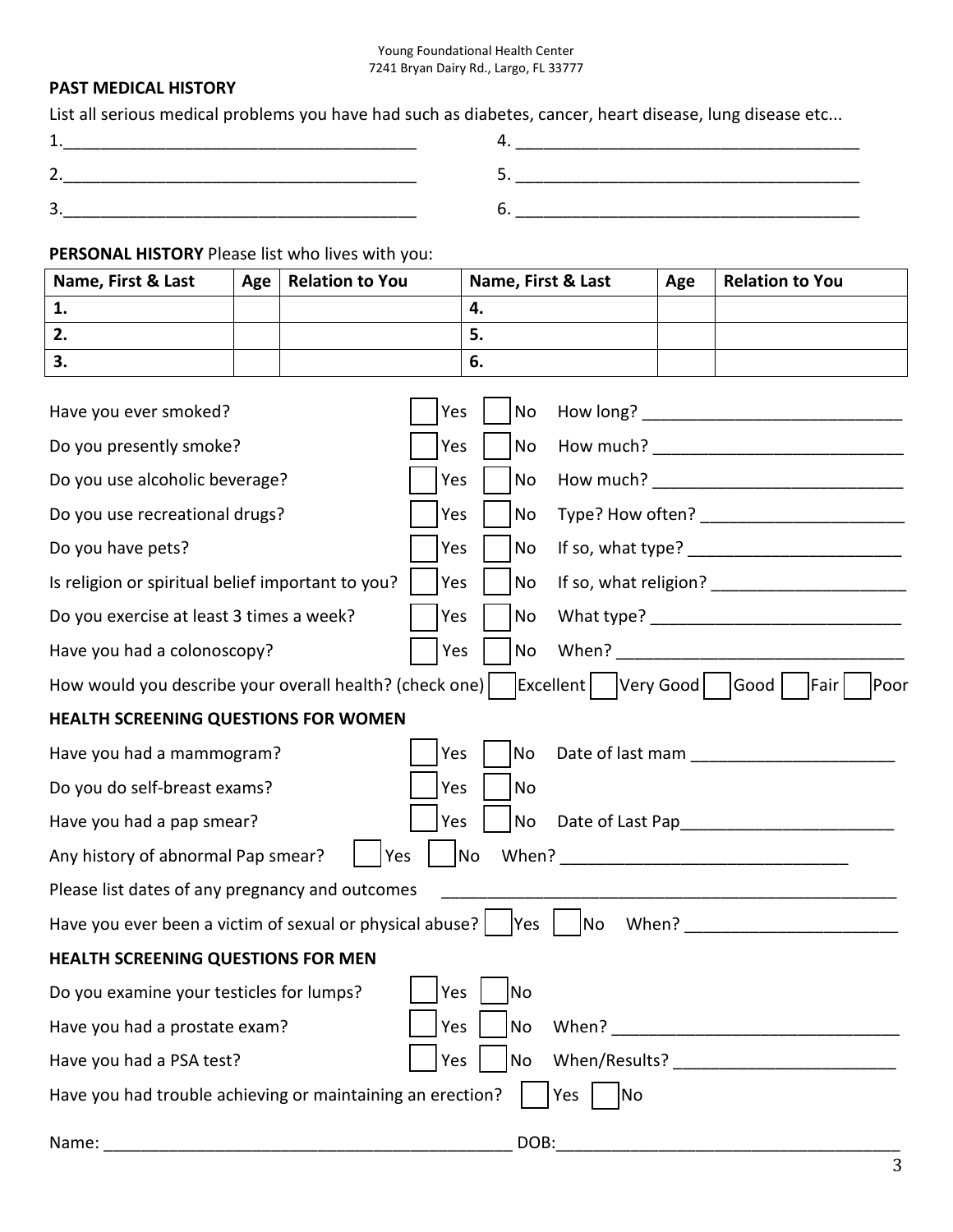## **PAST MEDICAL HISTORY**

List all serious medical problems you have had such as diabetes, cancer, heart disease, lung disease etc...

| $\overline{\phantom{a}}$ |  |
|--------------------------|--|

## **PERSONAL HISTORY** Please list who lives with you:

| Name, First & Last                                                                                                 | Age | <b>Relation to You</b> |           | Name, First & Last |  | Age | <b>Relation to You</b> |
|--------------------------------------------------------------------------------------------------------------------|-----|------------------------|-----------|--------------------|--|-----|------------------------|
| 1.                                                                                                                 |     |                        |           | 4.                 |  |     |                        |
| 2.                                                                                                                 |     |                        |           | 5.                 |  |     |                        |
| 3.                                                                                                                 |     |                        |           | 6.                 |  |     |                        |
| Have you ever smoked?                                                                                              |     |                        | Yes       | No                 |  |     |                        |
| Do you presently smoke?                                                                                            |     |                        | Yes       | No                 |  |     |                        |
| Do you use alcoholic beverage?                                                                                     |     |                        | Yes       | No                 |  |     |                        |
| Do you use recreational drugs?                                                                                     |     |                        | Yes       | No                 |  |     |                        |
| Do you have pets?                                                                                                  |     |                        | Yes       | No                 |  |     |                        |
| Is religion or spiritual belief important to you?                                                                  |     |                        | Yes       | No                 |  |     |                        |
| Do you exercise at least 3 times a week?                                                                           |     |                        | Yes       | No                 |  |     |                        |
| Have you had a colonoscopy?<br>Yes<br>No                                                                           |     |                        |           |                    |  |     |                        |
| Excellent   Very Good   Good  <br>How would you describe your overall health? (check one)<br> Fair <br><b>Poor</b> |     |                        |           |                    |  |     |                        |
| <b>HEALTH SCREENING QUESTIONS FOR WOMEN</b>                                                                        |     |                        |           |                    |  |     |                        |
| Have you had a mammogram?                                                                                          |     |                        | Yes       | No                 |  |     | Date of last mam       |
| Do you do self-breast exams?<br>Yes                                                                                |     |                        | <b>No</b> |                    |  |     |                        |
| Have you had a pap smear?                                                                                          |     |                        | Yes       | <b>No</b>          |  |     |                        |
| Any history of abnormal Pap smear?                                                                                 |     | Yes                    |           | No                 |  |     |                        |
| Please list dates of any pregnancy and outcomes                                                                    |     |                        |           |                    |  |     |                        |
| No<br>Have you ever been a victim of sexual or physical abuse?<br> Yes<br>When?                                    |     |                        |           |                    |  |     |                        |
| HEALTH SCREENING QUESTIONS FOR MEN                                                                                 |     |                        |           |                    |  |     |                        |
| Do you examine your testicles for lumps?                                                                           |     |                        | Yes       | No                 |  |     |                        |
| Have you had a prostate exam?                                                                                      |     |                        | Yes       | No                 |  |     |                        |
| Yes<br>Have you had a PSA test?                                                                                    |     |                        |           | No                 |  |     |                        |
| Have you had trouble achieving or maintaining an erection?<br>Yes<br><b>No</b>                                     |     |                        |           |                    |  |     |                        |
| Name:                                                                                                              |     |                        |           | DOB:               |  |     |                        |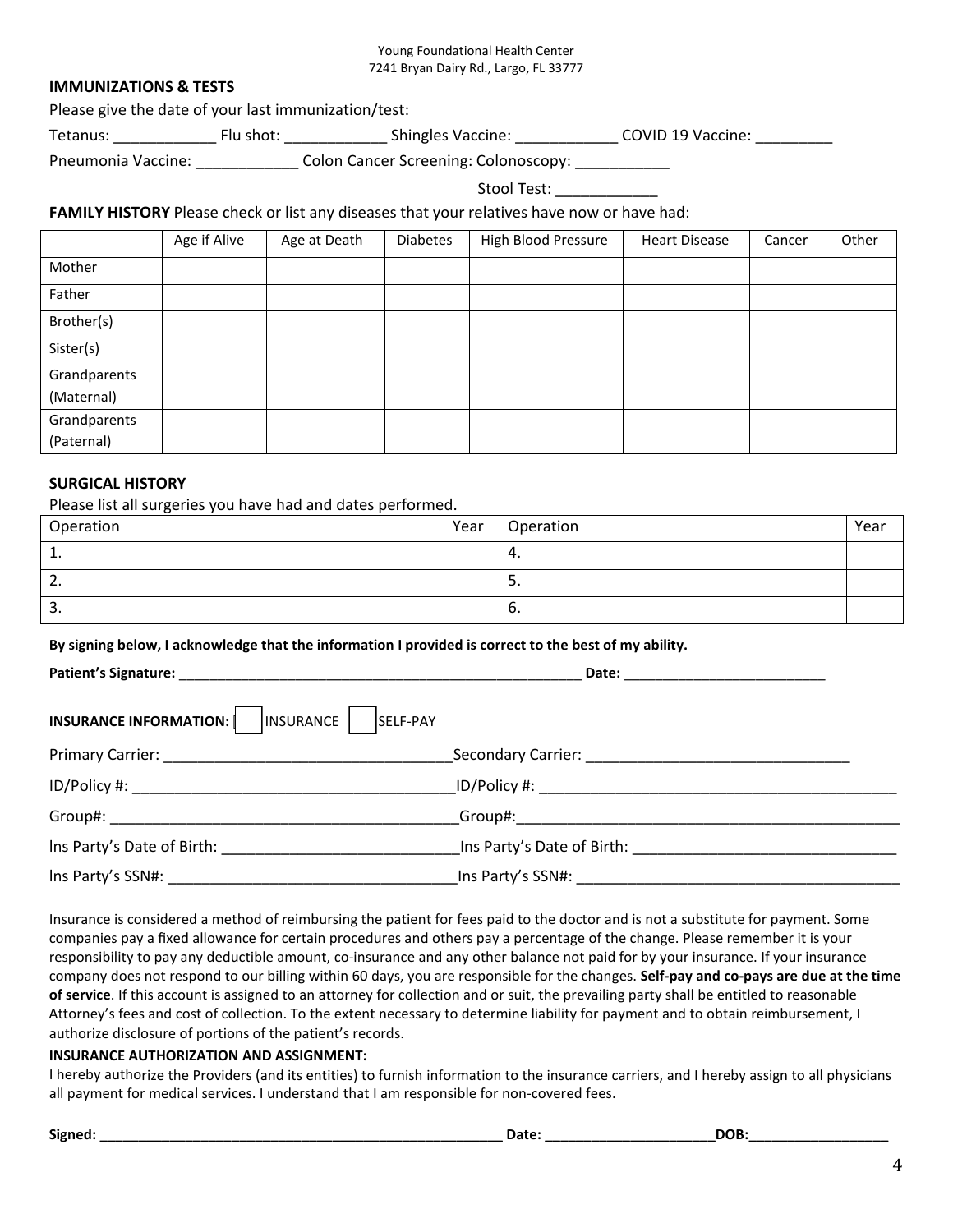### **IMMUNIZATIONS & TESTS**

Please give the date of your last immunization/test:

Tetanus: \_\_\_\_\_\_\_\_\_\_\_\_\_\_\_\_\_\_ Flu shot: \_\_\_\_\_\_\_\_\_\_\_\_\_\_\_\_\_Shingles Vaccine: \_\_\_\_\_\_\_\_\_\_\_\_\_\_\_\_\_\_\_\_\_\_\_\_COVID 19 Vaccine: \_\_\_\_\_\_\_\_\_\_\_\_\_\_\_\_\_\_\_

Pneumonia Vaccine: \_\_\_\_\_\_\_\_\_\_\_\_\_ Colon Cancer Screening: Colonoscopy: \_\_\_\_\_\_\_\_\_\_

Stool Test:

## **FAMILY HISTORY** Please check or list any diseases that your relatives have now or have had:

|              | Age if Alive | Age at Death | <b>Diabetes</b> | High Blood Pressure | <b>Heart Disease</b> | Cancer | Other |
|--------------|--------------|--------------|-----------------|---------------------|----------------------|--------|-------|
| Mother       |              |              |                 |                     |                      |        |       |
| Father       |              |              |                 |                     |                      |        |       |
| Brother(s)   |              |              |                 |                     |                      |        |       |
| Sister(s)    |              |              |                 |                     |                      |        |       |
| Grandparents |              |              |                 |                     |                      |        |       |
| (Maternal)   |              |              |                 |                     |                      |        |       |
| Grandparents |              |              |                 |                     |                      |        |       |
| (Paternal)   |              |              |                 |                     |                      |        |       |

### **SURGICAL HISTORY**

Please list all surgeries you have had and dates performed.

| Operation     | Year | Operation | Year |
|---------------|------|-----------|------|
| 1<br><b>.</b> |      | - 4.      |      |
| <u>.</u>      |      | <u>.</u>  |      |
| ີ<br>э.       |      | Ⴆ.        |      |

#### **By signing below, I acknowledge that the information I provided is correct to the best of my ability.**

| <b>INSURANCE INFORMATION:</b><br>INSURANCE<br>SELF-PAY      |                                                                                                                                                                                                                                |
|-------------------------------------------------------------|--------------------------------------------------------------------------------------------------------------------------------------------------------------------------------------------------------------------------------|
|                                                             |                                                                                                                                                                                                                                |
| ID/Policy #: New York Product 2014                          | ID/Policy #: www.astronomia.com/                                                                                                                                                                                               |
|                                                             | Group#: the contract of the contract of the contract of the contract of the contract of the contract of the contract of the contract of the contract of the contract of the contract of the contract of the contract of the co |
| Ins Party's Date of Birth: North and Sandy's Date of Birth: | Ins Party's Date of Birth: Note of Birth:                                                                                                                                                                                      |
| Ins Party's SSN#:                                           | Ins Party's SSN#:                                                                                                                                                                                                              |

Insurance is considered a method of reimbursing the patient for fees paid to the doctor and is not a substitute for payment. Some companies pay a fixed allowance for certain procedures and others pay a percentage of the change. Please remember it is your responsibility to pay any deductible amount, co-insurance and any other balance not paid for by your insurance. If your insurance company does not respond to our billing within 60 days, you are responsible for the changes. **Self-pay and co-pays are due at the time of service**. If this account is assigned to an attorney for collection and or suit, the prevailing party shall be entitled to reasonable Attorney's fees and cost of collection. To the extent necessary to determine liability for payment and to obtain reimbursement, I authorize disclosure of portions of the patient's records.

#### **INSURANCE AUTHORIZATION AND ASSIGNMENT:**

I hereby authorize the Providers (and its entities) to furnish information to the insurance carriers, and I hereby assign to all physicians all payment for medical services. I understand that I am responsible for non-covered fees.

**Signed: \_\_\_\_\_\_\_\_\_\_\_\_\_\_\_\_\_\_\_\_\_\_\_\_\_\_\_\_\_\_\_\_\_\_\_\_\_\_\_\_\_\_\_\_\_\_\_\_\_\_\_\_ Date: \_\_\_\_\_\_\_\_\_\_\_\_\_\_\_\_\_\_\_\_\_\_DOB:\_\_\_\_\_\_\_\_\_\_\_\_\_\_\_\_\_\_**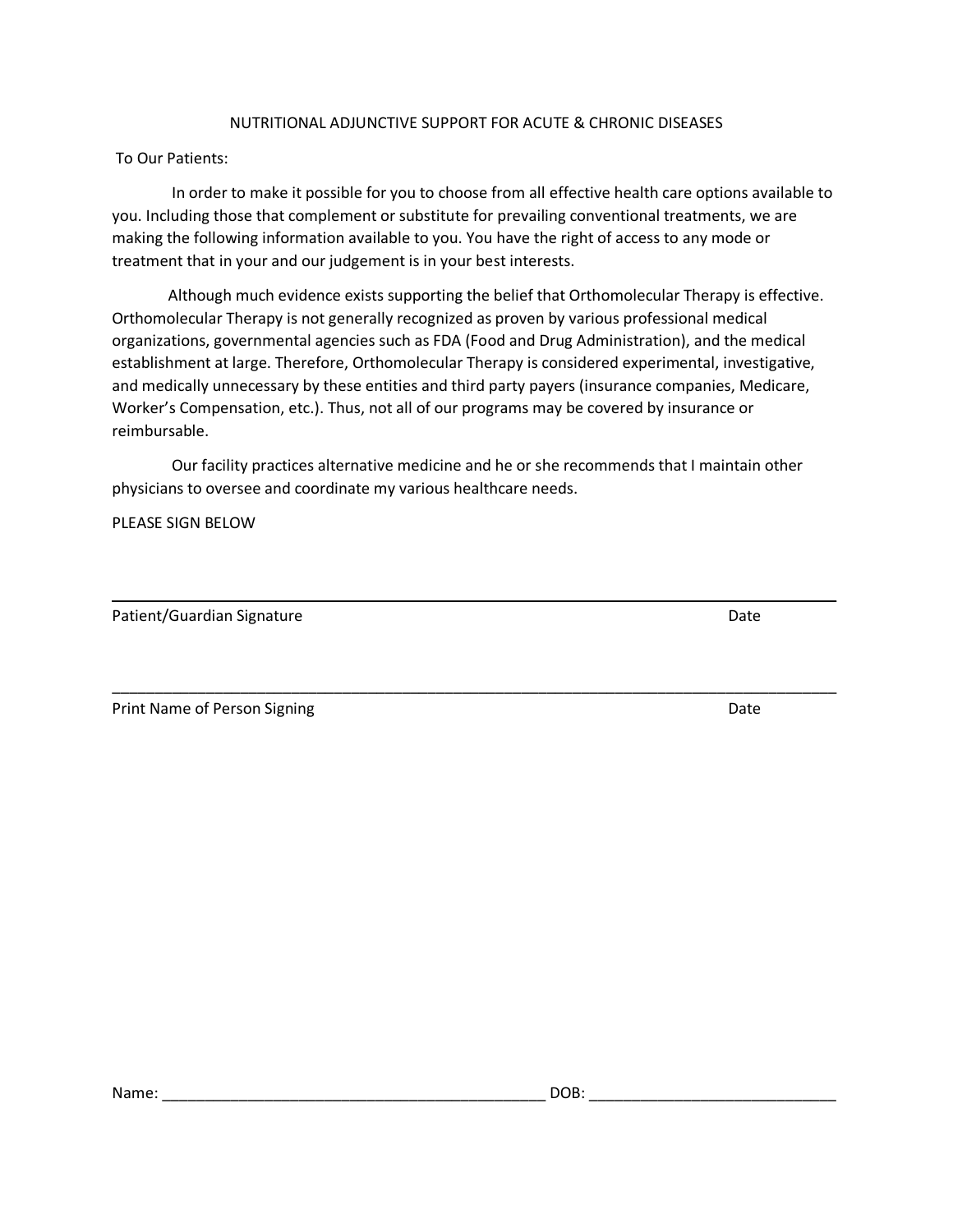### NUTRITIONAL ADJUNCTIVE SUPPORT FOR ACUTE & CHRONIC DISEASES

To Our Patients:

 In order to make it possible for you to choose from all effective health care options available to you. Including those that complement or substitute for prevailing conventional treatments, we are making the following information available to you. You have the right of access to any mode or treatment that in your and our judgement is in your best interests.

Although much evidence exists supporting the belief that Orthomolecular Therapy is effective. Orthomolecular Therapy is not generally recognized as proven by various professional medical organizations, governmental agencies such as FDA (Food and Drug Administration), and the medical establishment at large. Therefore, Orthomolecular Therapy is considered experimental, investigative, and medically unnecessary by these entities and third party payers (insurance companies, Medicare, Worker's Compensation, etc.). Thus, not all of our programs may be covered by insurance or reimbursable.

 Our facility practices alternative medicine and he or she recommends that I maintain other physicians to oversee and coordinate my various healthcare needs.

\_\_\_\_\_\_\_\_\_\_\_\_\_\_\_\_\_\_\_\_\_\_\_\_\_\_\_\_\_\_\_\_\_\_\_\_\_\_\_\_\_\_\_\_\_\_\_\_\_\_\_\_\_\_\_\_\_\_\_\_\_\_\_\_\_\_\_\_\_\_\_\_\_\_\_\_\_\_\_\_\_\_\_\_\_

PLEASE SIGN BELOW

Patient/Guardian Signature Date Date

Print Name of Person Signing Date and the Unit of Person Signing Date and the Unit of Person Signing Date and Date

\_\_\_\_\_\_\_\_\_\_\_\_\_\_\_\_\_\_\_\_\_\_\_\_\_\_\_\_\_\_\_\_\_\_\_\_\_\_\_\_\_\_\_\_\_\_\_\_\_\_\_\_\_\_\_\_\_\_\_\_\_\_\_\_\_\_\_\_\_\_\_\_\_\_\_\_\_\_\_\_\_\_\_\_\_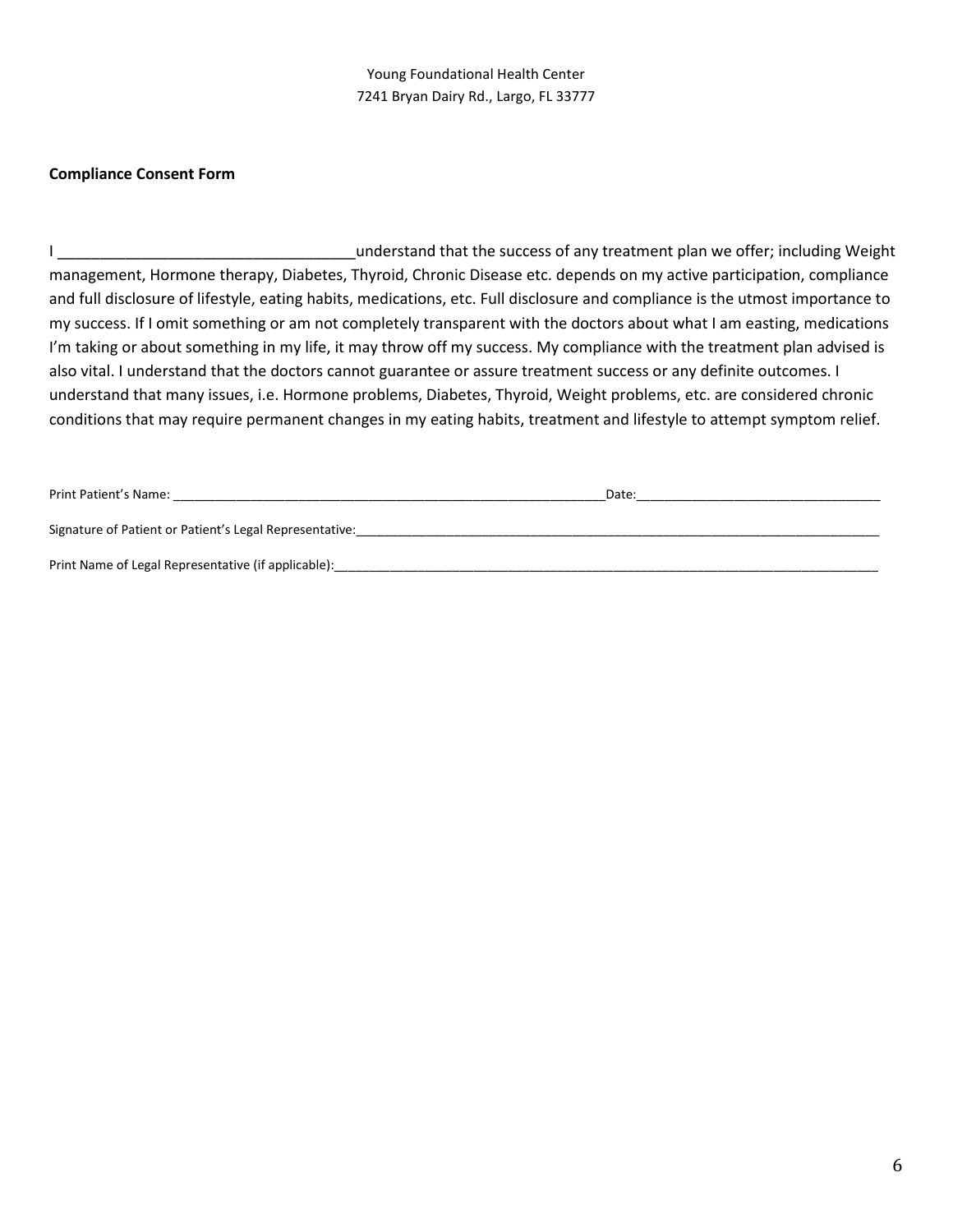### **Compliance Consent Form**

I \_\_\_\_\_\_\_\_\_\_\_\_\_\_\_\_\_\_\_\_\_\_\_\_\_\_\_\_\_\_\_\_\_\_\_understand that the success of any treatment plan we offer; including Weight management, Hormone therapy, Diabetes, Thyroid, Chronic Disease etc. depends on my active participation, compliance and full disclosure of lifestyle, eating habits, medications, etc. Full disclosure and compliance is the utmost importance to my success. If I omit something or am not completely transparent with the doctors about what I am easting, medications I'm taking or about something in my life, it may throw off my success. My compliance with the treatment plan advised is also vital. I understand that the doctors cannot guarantee or assure treatment success or any definite outcomes. I understand that many issues, i.e. Hormone problems, Diabetes, Thyroid, Weight problems, etc. are considered chronic conditions that may require permanent changes in my eating habits, treatment and lifestyle to attempt symptom relief.

| Print Patient's Name:                                   | Date: |
|---------------------------------------------------------|-------|
|                                                         |       |
| Signature of Patient or Patient's Legal Representative: |       |
|                                                         |       |
| Print Name of Legal Representative (if applicable):     |       |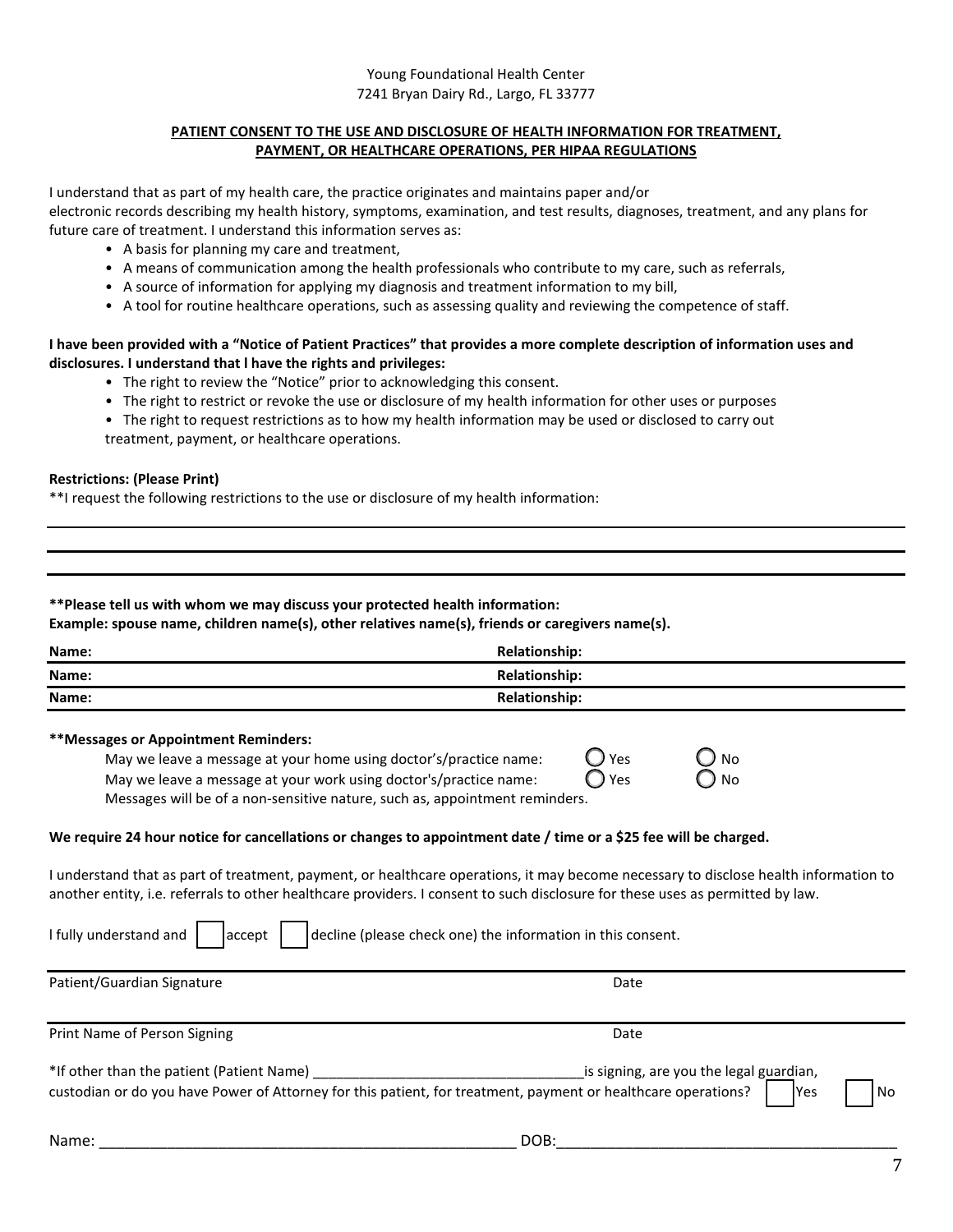#### **PATIENT CONSENT TO THE USE AND DISCLOSURE OF HEALTH INFORMATION FOR TREATMENT, PAYMENT, OR HEALTHCARE OPERATIONS, PER HIPAA REGULATIONS**

I understand that as part of my health care, the practice originates and maintains paper and/or electronic records describing my health history, symptoms, examination, and test results, diagnoses, treatment, and any plans for future care of treatment. I understand this information serves as:

- A basis for planning my care and treatment,
- A means of communication among the health professionals who contribute to my care, such as referrals,
- A source of information for applying my diagnosis and treatment information to my bill,
- A tool for routine healthcare operations, such as assessing quality and reviewing the competence of staff.

### **I have been provided with a "Notice of Patient Practices" that provides a more complete description of information uses and disclosures. I understand that l have the rights and privileges:**

- The right to review the "Notice" prior to acknowledging this consent.
- The right to restrict or revoke the use or disclosure of my health information for other uses or purposes
- The right to request restrictions as to how my health information may be used or disclosed to carry out treatment, payment, or healthcare operations.

### **Restrictions: (Please Print)**

\*\*I request the following restrictions to the use or disclosure of my health information:

#### **\*\*Please tell us with whom we may discuss your protected health information:**

**Example: spouse name, children name(s), other relatives name(s), friends or caregivers name(s).**

| Name: | <b>Relationship:</b> |
|-------|----------------------|
| Name: | <b>Relationship:</b> |
| Name: | <b>Relationship:</b> |

#### **\*\*Messages or Appointment Reminders:**

| May we leave a message at your home using doctor's/practice name:           | $O$ Yes        | $O_{N0}$      |
|-----------------------------------------------------------------------------|----------------|---------------|
| May we leave a message at your work using doctor's/practice name:           | $\bigcirc$ Yes | $\bigcirc$ No |
| Messages will be of a non-sensitive nature, such as, appointment reminders. |                |               |

#### **We require 24 hour notice for cancellations or changes to appointment date / time or a \$25 fee will be charged.**

I understand that as part of treatment, payment, or healthcare operations, it may become necessary to disclose health information to another entity, i.e. referrals to other healthcare providers. I consent to such disclosure for these uses as permitted by law.

|  |  | I fully understand and $\begin{vmatrix} 1 & \text{accept} \\ \text{accept} & \text{delete (please check one)} \end{vmatrix}$ the information in this consent. |
|--|--|---------------------------------------------------------------------------------------------------------------------------------------------------------------|
|  |  |                                                                                                                                                               |

| Patient/Guardian Signature                                                                                                                                 | Date                                                   |      |
|------------------------------------------------------------------------------------------------------------------------------------------------------------|--------------------------------------------------------|------|
|                                                                                                                                                            |                                                        |      |
| Print Name of Person Signing                                                                                                                               | Date                                                   |      |
| *If other than the patient (Patient Name)<br>custodian or do you have Power of Attorney for this patient, for treatment, payment or healthcare operations? | is signing, are you the legal guardian,<br><b>IYes</b> | l No |
| Name:                                                                                                                                                      | DOB:                                                   |      |